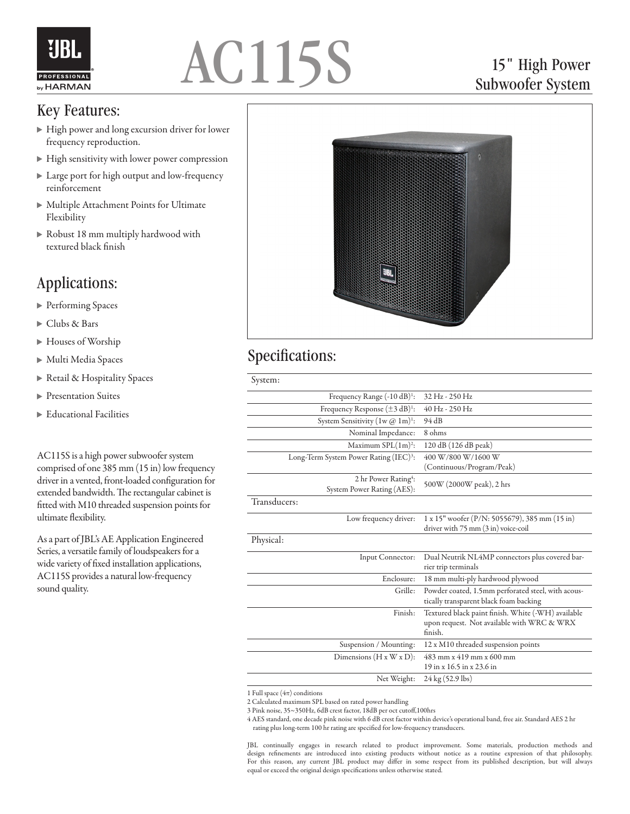

# AC115S

### 15" High Power Subwoofer System

#### Key Features:

- High power and long excursion driver for lower frequency reproduction.
- High sensitivity with lower power compression
- Large port for high output and low-frequency reinforcement
- Multiple Attachment Points for Ultimate Flexibility
- Robust 18 mm multiply hardwood with textured black finish

# Applications:

- ▶ Performing Spaces
- Clubs & Bars
- ▶ Houses of Worship
- Multi Media Spaces
- Retail & Hospitality Spaces
- **Presentation Suites**
- Educational Facilities

AC115S is a high power subwoofer system comprised of one 385 mm (15 in) low frequency driver in a vented, front-loaded configuration for extended bandwidth. The rectangular cabinet is fitted with M10 threaded suspension points for ultimate flexibility.

As a part of JBL's AE Application Engineered Series, a versatile family of loudspeakers for a wide variety of fixed installation applications, AC115S provides a natural low-frequency sound quality.



## Specifications:

| System:                                                        |                                                                                                             |
|----------------------------------------------------------------|-------------------------------------------------------------------------------------------------------------|
| Frequency Range (-10 dB) <sup>1</sup> :                        | 32 Hz - 250 Hz                                                                                              |
| Frequency Response $(\pm 3 \text{ dB})^1$ :                    | 40 Hz - 250 Hz                                                                                              |
| System Sensitivity $(1w @ 1m)$ <sup>1</sup> :                  | 94 dB                                                                                                       |
| Nominal Impedance:                                             | 8 ohms                                                                                                      |
| Maximum $SPL(1m)^2$ :                                          | 120 dB (126 dB peak)                                                                                        |
| Long-Term System Power Rating (IEC) <sup>3</sup> :             | 400 W/800 W/1600 W                                                                                          |
|                                                                | (Continuous/Program/Peak)                                                                                   |
| 2 hr Power Rating <sup>4</sup> :<br>System Power Rating (AES): | 500W (2000W peak), 2 hrs                                                                                    |
| Transducers:                                                   |                                                                                                             |
| Low frequency driver:                                          | $1 \times 15$ " woofer (P/N: 5055679), 385 mm (15 in)<br>driver with 75 mm (3 in) voice-coil                |
| Physical:                                                      |                                                                                                             |
| Input Connector:                                               | Dual Neutrik NL4MP connectors plus covered bar-<br>rier trip terminals                                      |
| Enclosure:                                                     | 18 mm multi-ply hardwood plywood                                                                            |
| Grille:                                                        | Powder coated, 1.5mm perforated steel, with acous-<br>tically transparent black foam backing                |
| Finish:                                                        | Textured black paint finish. White (-WH) available<br>upon request. Not available with WRC & WRX<br>finish. |
| Suspension / Mounting:                                         | 12 x M10 threaded suspension points                                                                         |
| Dimensions $(H x W x D)$ :                                     | 483 mm x 419 mm x 600 mm                                                                                    |
|                                                                | 19 in x 16.5 in x 23.6 in                                                                                   |
| Net Weight:                                                    | 24 kg (52.9 lbs)                                                                                            |

1 Full space  $(4\pi)$  conditions

3 Pink noise, 35~350Hz, 6dB crest factor, 18dB per oct cutoff,100hrs

4 AES standard, one decade pink noise with 6 dB crest factor within device's operational band, free air. Standard AES 2 hr rating plus long-term 100 hr rating are specified for low-frequency transducers.

JBL continually engages in research related to product improvement. Some materials, production methods and design refinements are introduced into existing products without notice as a routine expression of that philosophy. For this reason, any current JBL product may differ in some respect from its published description, but will always equal or exceed the original design specifications unless otherwise stated.

<sup>2</sup> Calculated maximum SPL based on rated power handling